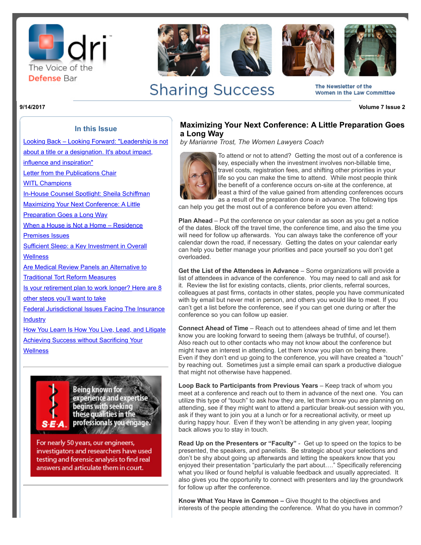







The Newsletter of the Women In the Law Committee

**Sharing Success** 

**9/14/2017 Volume 7 Issue 2**

# **Maximizing Your Next Conference: A Little Preparation Goes a Long Way**

*by Marianne Trost, The Women Lawyers Coach*



To attend or not to attend? Getting the most out of a conference is key, especially when the investment involves non-billable time, travel costs, registration fees, and shifting other priorities in your life so you can make the time to attend. While most people think the benefit of a conference occurs on-site at the conference, at least a third of the value gained from attending conferences occurs as a result of the preparation done in advance. The following tips

can help you get the most out of a conference before you even attend:

**Plan Ahead** – Put the conference on your calendar as soon as you get a notice of the dates. Block off the travel time, the conference time, and also the time you will need for follow up afterwards. You can always take the conference off your calendar down the road, if necessary. Getting the dates on your calendar early can help you better manage your priorities and pace yourself so you don't get overloaded.

**Get the List of the Attendees in Advance** – Some organizations will provide a list of attendees in advance of the conference. You may need to call and ask for it. Review the list for existing contacts, clients, prior clients, referral sources, colleagues at past firms, contacts in other states, people you have communicated with by email but never met in person, and others you would like to meet. If you can't get a list before the conference, see if you can get one during or after the conference so you can follow up easier.

**Connect Ahead of Time** – Reach out to attendees ahead of time and let them know you are looking forward to seeing them (always be truthful, of course!). Also reach out to other contacts who may not know about the conference but might have an interest in attending. Let them know you plan on being there. Even if they don't end up going to the conference, you will have created a "touch" by reaching out. Sometimes just a simple email can spark a productive dialogue that might not otherwise have happened.

**Loop Back to Participants from Previous Years** – Keep track of whom you meet at a conference and reach out to them in advance of the next one. You can utilize this type of "touch" to ask how they are, let them know you are planning on attending, see if they might want to attend a particular break-out session with you, ask if they want to join you at a lunch or for a recreational activity, or meet up during happy hour. Even if they won't be attending in any given year, looping back allows you to stay in touch.

**Read Up on the Presenters or "Faculty"** - Get up to speed on the topics to be presented, the speakers, and panelists. Be strategic about your selections and don't be shy about going up afterwards and letting the speakers know that you enjoyed their presentation "particularly the part about…." Specifically referencing what you liked or found helpful is valuable feedback and usually appreciated. It also gives you the opportunity to connect with presenters and lay the groundwork for follow up after the conference.

**Know What You Have in Common –** Give thought to the objectives and interests of the people attending the conference. What do you have in common?

# **In this Issue** [Looking Back – Looking Forward: "Leadership is not](http://portal.criticalimpact.com/newsletter/newslettershow5.cfm?contentonly=1&content=259911&id=15891)

about a title or a designation. It's about impact, influence and inspiration" [Letter from the Publications Chair](http://portal.criticalimpact.com/newsletter/newslettershow5.cfm?contentonly=1&content=260221&id=15891) **[WITL Champions](http://portal.criticalimpact.com/newsletter/newslettershow5.cfm?contentonly=1&content=260631&id=15891)** [In-House Counsel Spotlight: Sheila Schiffman](http://portal.criticalimpact.com/newsletter/newslettershow5.cfm?contentonly=1&content=261061&id=15891) [Maximizing Your Next Conference: A Little](http://portal.criticalimpact.com/newsletter/newslettershow5.cfm?contentonly=1&content=261071&id=15891) Preparation Goes a Long Way [When a House is Not a Home – Residence](http://portal.criticalimpact.com/newsletter/newslettershow5.cfm?contentonly=1&content=261081&id=15891) Premises Issues [Sufficient Sleep: a Key Investment in Overall](http://portal.criticalimpact.com/newsletter/newslettershow5.cfm?contentonly=1&content=261091&id=15891)

**Wellness** 

[Are Medical Review Panels an Alternative to](http://portal.criticalimpact.com/newsletter/newslettershow5.cfm?contentonly=1&content=261101&id=15891) Traditional Tort Reform Measures

[Is your retirement plan to work longer? Here are 8](http://portal.criticalimpact.com/newsletter/newslettershow5.cfm?contentonly=1&content=261311&id=15891)

other steps you'll want to take

[Federal Jurisdictional Issues Facing The Insurance](http://portal.criticalimpact.com/newsletter/newslettershow5.cfm?contentonly=1&content=261321&id=15891) **Industry** 

[How You Learn Is How You Live, Lead, and Litigate](http://portal.criticalimpact.com/newsletter/newslettershow5.cfm?contentonly=1&content=261331&id=15891) **[Achieving Success without Sacrificing Your](http://portal.criticalimpact.com/newsletter/newslettershow5.cfm?contentonly=1&content=261341&id=15891) Wellness** 



**Being known for** experience and expertise begins with seeking<br>these qualities in the professionals you engage. **SONE A** 

For nearly 50 years, our engineers, investigators and researchers have used testing and forensic analysis to find real answers and articulate them in court.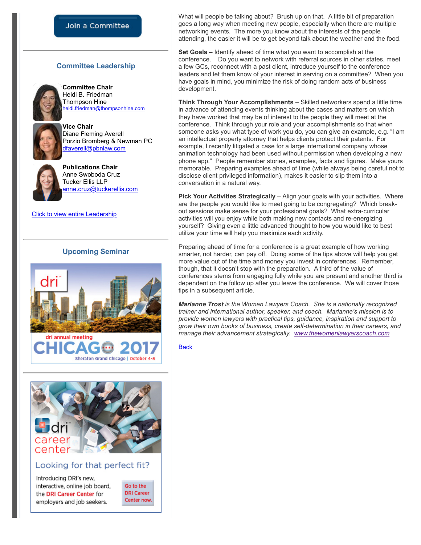### Join a Committee

#### **Committee Leadership**



**Committee Chair** Heidi B. Friedman Thompson Hine [heidi.friedman@thompsonhine.com](mailto:heidi.friedman@thompsonhine.com)

**Vice Chair** Diane Fleming Averell Porzio Bromberg & Newman PC [dfaverell@pbnlaw.com](mailto:dfaverell@pbnlaw.com)



**Publications Chair** Anne Swoboda Cruz Tucker Ellis LLP [anne.cruz@tuckerellis.com](mailto:anne.cruz@tuckerellis.com)

[Click to view entire Leadership](http://dri.org/Committee/Leadership?code=0450)

## **Upcoming Seminar**







### Looking for that perfect fit?

Introducing DRI's new, interactive, online job board, the DRI Career Center for employers and job seekers.

Go to the **DRI Career** Center now.

What will people be talking about? Brush up on that. A little bit of preparation goes a long way when meeting new people, especially when there are multiple networking events. The more you know about the interests of the people attending, the easier it will be to get beyond talk about the weather and the food.

**Set Goals –** Identify ahead of time what you want to accomplish at the conference. Do you want to network with referral sources in other states, meet a few GCs, reconnect with a past client, introduce yourself to the conference leaders and let them know of your interest in serving on a committee? When you have goals in mind, you minimize the risk of doing random acts of business development.

**Think Through Your Accomplishments** – Skilled networkers spend a little time in advance of attending events thinking about the cases and matters on which they have worked that may be of interest to the people they will meet at the conference. Think through your role and your accomplishments so that when someone asks you what type of work you do, you can give an example, e.g. "I am an intellectual property attorney that helps clients protect their patents. For example, I recently litigated a case for a large international company whose animation technology had been used without permission when developing a new phone app." People remember stories, examples, facts and figures. Make yours memorable. Preparing examples ahead of time (while always being careful not to disclose client privileged information), makes it easier to slip them into a conversation in a natural way.

**Pick Your Activities Strategically** – Align your goals with your activities. Where are the people you would like to meet going to be congregating? Which breakout sessions make sense for your professional goals? What extra-curricular activities will you enjoy while both making new contacts and re-energizing yourself? Giving even a little advanced thought to how you would like to best utilize your time will help you maximize each activity.

Preparing ahead of time for a conference is a great example of how working smarter, not harder, can pay off. Doing some of the tips above will help you get more value out of the time and money you invest in conferences. Remember, though, that it doesn't stop with the preparation. A third of the value of conferences stems from engaging fully while you are present and another third is dependent on the follow up after you leave the conference. We will cover those tips in a subsequent article.

*Marianne Trost is the Women Lawyers Coach. She is a nationally recognized trainer and international author, speaker, and coach. Marianne's mission is to provide women lawyers with practical tips, guidance, inspiration and support to grow their own books of business, create self-determination in their careers, and manage their advancement strategically. [www.thewomenlawyerscoach.com](http://www.thewomenlawyerscoach.com/)*

**[Back](http://portal.criticalimpact.com/newsletter/newslettershow5.cfm?id=15891)**